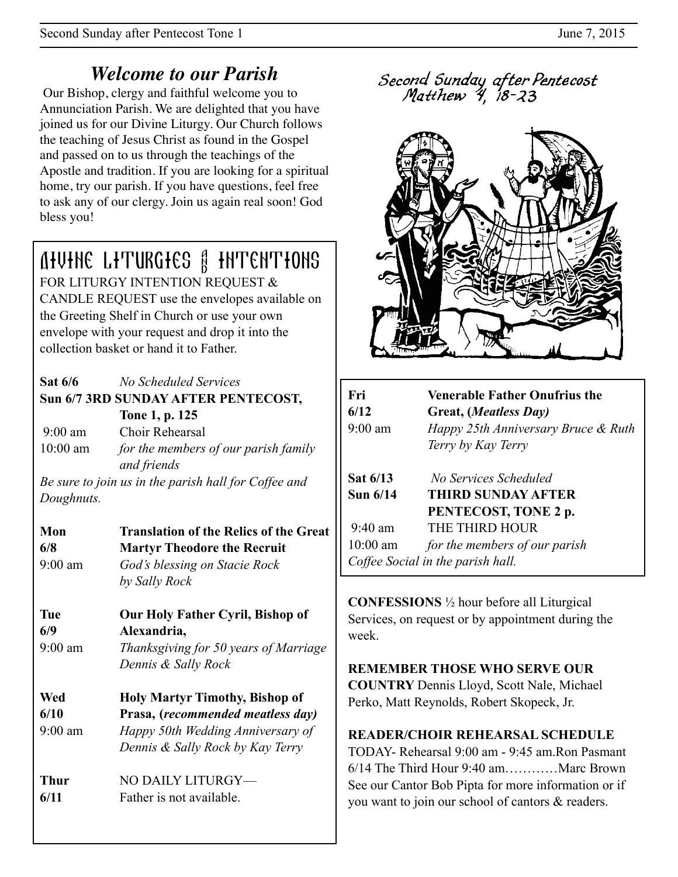## *Welcome to our Parish*

 Our Bishop, clergy and faithful welcome you to Annunciation Parish. We are delighted that you have joined us for our Divine Liturgy. Our Church follows the teaching of Jesus Christ as found in the Gospel and passed on to us through the teachings of the Apostle and tradition. If you are looking for a spiritual home, try our parish. If you have questions, feel free to ask any of our clergy. Join us again real soon! God bless you!

# **AIVINE LITURGIES & INTENTIONS**

FOR LITURGY INTENTION REQUEST & CANDLE REQUEST use the envelopes available on the Greeting Shelf in Church or use your own envelope with your request and drop it into the collection basket or hand it to Father.

| <b>Sat 6/6</b>                      | No Scheduled Services                                |  |
|-------------------------------------|------------------------------------------------------|--|
| Sun 6/7 3RD SUNDAY AFTER PENTECOST, |                                                      |  |
|                                     | Tone 1, p. 125                                       |  |
| $9:00 \text{ am}$                   | Choir Rehearsal                                      |  |
| $10:00$ am                          | for the members of our parish family                 |  |
|                                     | and friends                                          |  |
|                                     | Be sure to join us in the parish hall for Coffee and |  |
| Doughnuts.                          |                                                      |  |
| Mon                                 | <b>Translation of the Relics of the Great</b>        |  |
| 6/8                                 | <b>Martyr Theodore the Recruit</b>                   |  |
| $9:00$ am                           | God's blessing on Stacie Rock                        |  |
|                                     | by Sally Rock                                        |  |
| <b>Tue</b>                          | Our Holy Father Cyril, Bishop of                     |  |
| 6/9                                 | Alexandria,                                          |  |
| $9:00$ am                           | Thanksgiving for 50 years of Marriage                |  |
|                                     | Dennis & Sally Rock                                  |  |
| Wed                                 | <b>Holy Martyr Timothy, Bishop of</b>                |  |
| 6/10                                | Prasa, (recommended meatless day)                    |  |
| $9:00$ am                           | Happy 50th Wedding Anniversary of                    |  |
|                                     | Dennis & Sally Rock by Kay Terry                     |  |
| Thur                                | NO DAILY LITURGY-                                    |  |
| 6/11                                | Father is not available.                             |  |

Second Sunday after Pentecost<br>Matthew 4, 18-23



| Fri               | Venerable Father Onufrius the       |
|-------------------|-------------------------------------|
| 6/12              | Great, ( <i>Meatless Day</i> )      |
| $9:00 \text{ am}$ | Happy 25th Anniversary Bruce & Ruth |
|                   | Terry by Kay Terry                  |
| Sat 6/13          | No Services Scheduled               |
| Sun $6/14$        | <b>THIRD SUNDAY AFTER</b>           |
|                   | PENTECOST, TONE 2 p.                |
| $9.40$ am         | THE THIRD HOUR                      |
| $10:00$ am        | for the members of our parish       |
|                   | Coffee Social in the parish hall.   |

**CONFESSIONS** ½ hour before all Liturgical Services, on request or by appointment during the week.

### **REMEMBER THOSE WHO SERVE OUR**

**COUNTRY** Dennis Lloyd, Scott Nale, Michael Perko, Matt Reynolds, Robert Skopeck, Jr.

### **READER/CHOIR REHEARSAL SCHEDULE**

TODAY- Rehearsal 9:00 am - 9:45 am.Ron Pasmant 6/14 The Third Hour 9:40 am…………Marc Brown See our Cantor Bob Pipta for more information or if you want to join our school of cantors & readers.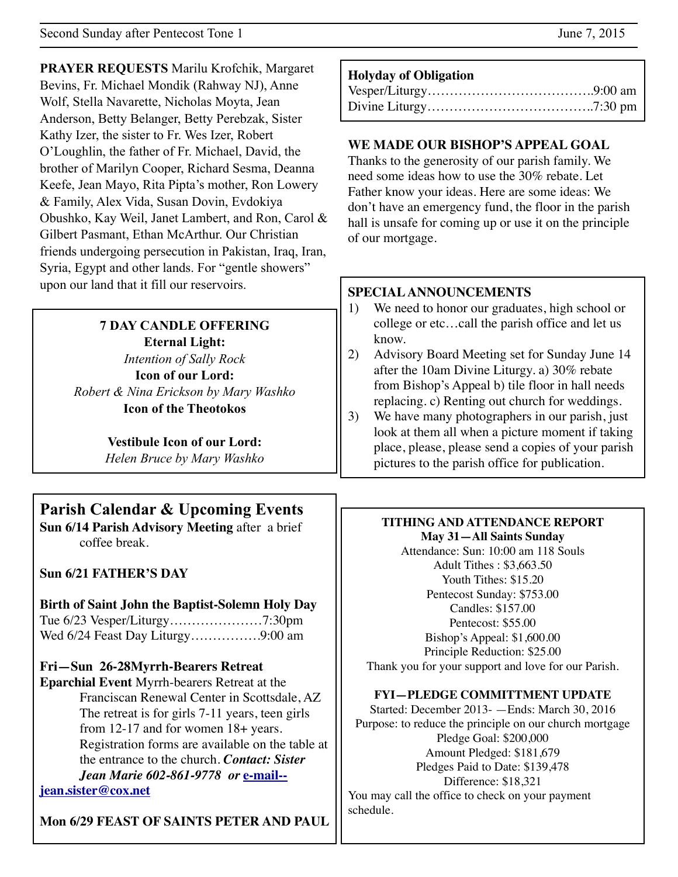| <b>PRAYER REQUESTS Marilu Krofchik, Margaret</b><br>Bevins, Fr. Michael Mondik (Rahway NJ), Anne<br>Wolf, Stella Navarette, Nicholas Moyta, Jean<br>Anderson, Betty Belanger, Betty Perebzak, Sister                                                                                                                                                                                                                                                                                                                                              | <b>Holyday of Obligation</b>                                                                                                                                                                                                                                                                                                                                                                                                                                                                                                        |
|---------------------------------------------------------------------------------------------------------------------------------------------------------------------------------------------------------------------------------------------------------------------------------------------------------------------------------------------------------------------------------------------------------------------------------------------------------------------------------------------------------------------------------------------------|-------------------------------------------------------------------------------------------------------------------------------------------------------------------------------------------------------------------------------------------------------------------------------------------------------------------------------------------------------------------------------------------------------------------------------------------------------------------------------------------------------------------------------------|
| Kathy Izer, the sister to Fr. Wes Izer, Robert<br>O'Loughlin, the father of Fr. Michael, David, the<br>brother of Marilyn Cooper, Richard Sesma, Deanna<br>Keefe, Jean Mayo, Rita Pipta's mother, Ron Lowery<br>& Family, Alex Vida, Susan Dovin, Evdokiya<br>Obushko, Kay Weil, Janet Lambert, and Ron, Carol &<br>Gilbert Pasmant, Ethan McArthur. Our Christian<br>friends undergoing persecution in Pakistan, Iraq, Iran,<br>Syria, Egypt and other lands. For "gentle showers"                                                               | WE MADE OUR BISHOP'S APPEAL GOAL<br>Thanks to the generosity of our parish family. We<br>need some ideas how to use the 30% rebate. Let<br>Father know your ideas. Here are some ideas: We<br>don't have an emergency fund, the floor in the parish<br>hall is unsafe for coming up or use it on the principle<br>of our mortgage.                                                                                                                                                                                                  |
| upon our land that it fill our reservoirs.<br><b>7 DAY CANDLE OFFERING</b><br><b>Eternal Light:</b>                                                                                                                                                                                                                                                                                                                                                                                                                                               | <b>SPECIAL ANNOUNCEMENTS</b><br>We need to honor our graduates, high school or<br>1)<br>college or etccall the parish office and let us<br>know.                                                                                                                                                                                                                                                                                                                                                                                    |
| <b>Intention of Sally Rock</b><br><b>Icon of our Lord:</b><br>Robert & Nina Erickson by Mary Washko<br><b>Icon of the Theotokos</b>                                                                                                                                                                                                                                                                                                                                                                                                               | 2)<br>Advisory Board Meeting set for Sunday June 14<br>after the 10am Divine Liturgy. a) 30% rebate<br>from Bishop's Appeal b) tile floor in hall needs<br>replacing. c) Renting out church for weddings.<br>We have many photographers in our parish, just<br>3)                                                                                                                                                                                                                                                                   |
| <b>Vestibule Icon of our Lord:</b><br>Helen Bruce by Mary Washko                                                                                                                                                                                                                                                                                                                                                                                                                                                                                  | look at them all when a picture moment if taking<br>place, please, please send a copies of your parish<br>pictures to the parish office for publication.                                                                                                                                                                                                                                                                                                                                                                            |
|                                                                                                                                                                                                                                                                                                                                                                                                                                                                                                                                                   |                                                                                                                                                                                                                                                                                                                                                                                                                                                                                                                                     |
| <b>Parish Calendar &amp; Upcoming Events</b><br>Sun 6/14 Parish Advisory Meeting after a brief<br>coffee break.                                                                                                                                                                                                                                                                                                                                                                                                                                   | <b>TITHING AND ATTENDANCE REPORT</b><br><b>May 31-All Saints Sunday</b><br>Attendance: Sun: 10:00 am 118 Souls                                                                                                                                                                                                                                                                                                                                                                                                                      |
| Sun 6/21 FATHER'S DAY                                                                                                                                                                                                                                                                                                                                                                                                                                                                                                                             | Adult Tithes: \$3,663.50<br>Youth Tithes: \$15.20                                                                                                                                                                                                                                                                                                                                                                                                                                                                                   |
| <b>Birth of Saint John the Baptist-Solemn Holy Day</b><br>Wed 6/24 Feast Day Liturgy9:00 am<br>Fri-Sun 26-28Myrrh-Bearers Retreat<br><b>Eparchial Event Myrrh-bearers Retreat at the</b><br>Franciscan Renewal Center in Scottsdale, AZ<br>The retreat is for girls 7-11 years, teen girls<br>from $12-17$ and for women $18+$ years.<br>Registration forms are available on the table at<br>the entrance to the church. Contact: Sister<br>Jean Marie 602-861-9778 or e-mail--<br>jean.sister@cox.net<br>Mon 6/29 FEAST OF SAINTS PETER AND PAUL | Pentecost Sunday: \$753.00<br>Candles: \$157.00<br>Pentecost: \$55.00<br>Bishop's Appeal: \$1,600.00<br>Principle Reduction: \$25.00<br>Thank you for your support and love for our Parish.<br><b>FYI-PLEDGE COMMITTMENT UPDATE</b><br>Started: December 2013- - Ends: March 30, 2016<br>Purpose: to reduce the principle on our church mortgage<br>Pledge Goal: \$200,000<br>Amount Pledged: \$181,679<br>Pledges Paid to Date: \$139,478<br>Difference: \$18,321<br>You may call the office to check on your payment<br>schedule. |
|                                                                                                                                                                                                                                                                                                                                                                                                                                                                                                                                                   |                                                                                                                                                                                                                                                                                                                                                                                                                                                                                                                                     |